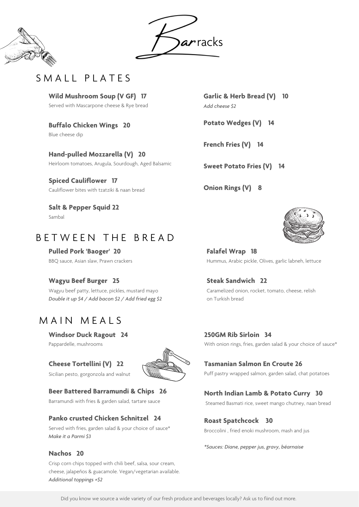**Garlic & Herb Bread (V) 10** *Add cheese \$2*

**Potato Wedges (V) 14**

**French Fries (V) 14**

**Sweet Potato Fries (V) 14**

**Onion Rings (V) 8**



**Windsor Duck Ragout 24**

Pappardelle, mushrooms

### **Cheese Tortellini (V) 22**

Sicilian pesto, gorgonzola and walnut



#### **Beer Battered Barramundi & Chips 26**

Barramundi with fries & garden salad, tartare sauce

#### **Panko crusted Chicken Schnitzel 24**

Served with fries, garden salad & your choice of sauce\* *Make it a Parmi \$3*

#### **Nachos 20**

Crisp corn chips topped with chili beef, salsa, sour cream, cheese, jalapeños & guacamole. Vegan/vegetarian available. *Additional toppings +\$2*

### **250GM Rib Sirloin 34**

### **Tasmanian Salmon En Croute 26**

Puff pastry wrapped salmon, garden salad, chat potatoes

#### **North Indian Lamb & Potato Curry 30**

Steamed Basmati rice, sweet mango chutney, naan bread

### **Roast Spatchcock 30**

Broccolini , fried enoki mushroom, mash and jus

*\*Sauces: Diane, pepper jus, gravy, béarnaise*

**Falafel Wrap 18** Hummus, Arabic pickle, Olives, garlic labneh, lettuce

**Steak Sandwich 22** Caramelized onion, rocket, tomato, cheese, relish

on Turkish bread

With onion rings, fries, garden salad & your choice of sauce\*

| Wild Mushroom Soup (V GF) 17              |  |  |
|-------------------------------------------|--|--|
| Served with Mascarpone cheese & Rye bread |  |  |

**Buffalo Chicken Wings 20** Blue cheese dip

**Hand-pulled Mozzarella (V) 20** Heirloom tomatoes, Arugula, Sourdough, Aged Balsamic

**Spiced Cauliflower 17** Cauliflower bites with tzatziki & naan bread

**Salt & Pepper Squid 22** Sambal

# B E T W E E N T H E B R E A D

**Pulled Pork 'Baoger' 20** BBQ sauce, Asian slaw, Prawn crackers

### **Wagyu Beef Burger 25**

Wagyu beef patty, lettuce, pickles, mustard mayo *Double it up \$4 / Add bacon \$2 / Add fried egg \$2*

# MAIN MEALS





# SMALL PLATES

Did you know we source a wide variety of our fresh produce and beverages locally? Ask us to fiind out more.